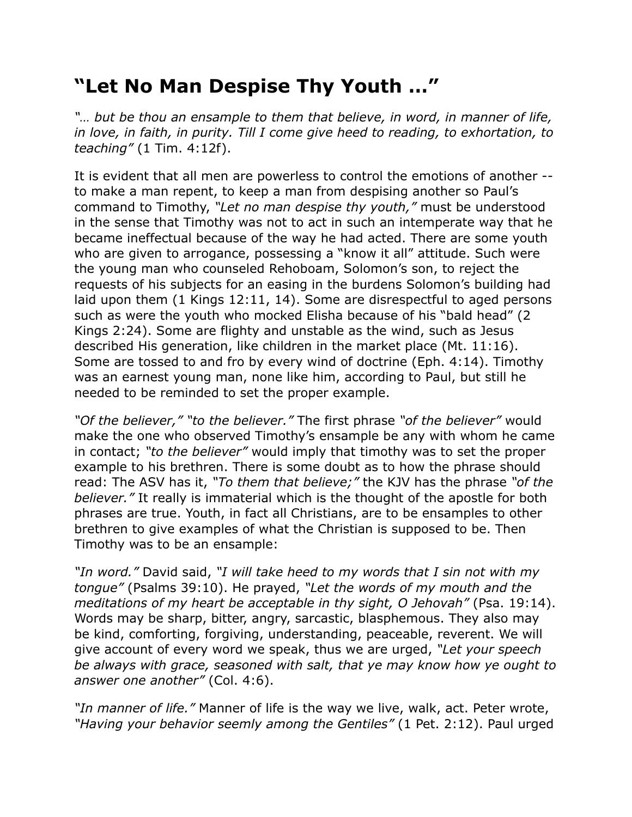## **"Let No Man Despise Thy Youth …"**

*"… but be thou an ensample to them that believe, in word, in manner of life, in love, in faith, in purity. Till I come give heed to reading, to exhortation, to teaching"* (1 Tim. 4:12f).

It is evident that all men are powerless to control the emotions of another - to make a man repent, to keep a man from despising another so Paul's command to Timothy, *"Let no man despise thy youth,"* must be understood in the sense that Timothy was not to act in such an intemperate way that he became ineffectual because of the way he had acted. There are some youth who are given to arrogance, possessing a "know it all" attitude. Such were the young man who counseled Rehoboam, Solomon's son, to reject the requests of his subjects for an easing in the burdens Solomon's building had laid upon them (1 Kings 12:11, 14). Some are disrespectful to aged persons such as were the youth who mocked Elisha because of his "bald head" (2 Kings 2:24). Some are flighty and unstable as the wind, such as Jesus described His generation, like children in the market place (Mt. 11:16). Some are tossed to and fro by every wind of doctrine (Eph. 4:14). Timothy was an earnest young man, none like him, according to Paul, but still he needed to be reminded to set the proper example.

*"Of the believer," "to the believer."* The first phrase *"of the believer"* would make the one who observed Timothy's ensample be any with whom he came in contact; *"to the believer"* would imply that timothy was to set the proper example to his brethren. There is some doubt as to how the phrase should read: The ASV has it, *"To them that believe;"* the KJV has the phrase *"of the believer."* It really is immaterial which is the thought of the apostle for both phrases are true. Youth, in fact all Christians, are to be ensamples to other brethren to give examples of what the Christian is supposed to be. Then Timothy was to be an ensample:

*"In word."* David said, *"I will take heed to my words that I sin not with my tongue"* (Psalms 39:10). He prayed, *"Let the words of my mouth and the meditations of my heart be acceptable in thy sight, O Jehovah"* (Psa. 19:14). Words may be sharp, bitter, angry, sarcastic, blasphemous. They also may be kind, comforting, forgiving, understanding, peaceable, reverent. We will give account of every word we speak, thus we are urged, *"Let your speech be always with grace, seasoned with salt, that ye may know how ye ought to answer one another"* (Col. 4:6).

*"In manner of life."* Manner of life is the way we live, walk, act. Peter wrote, *"Having your behavior seemly among the Gentiles"* (1 Pet. 2:12). Paul urged